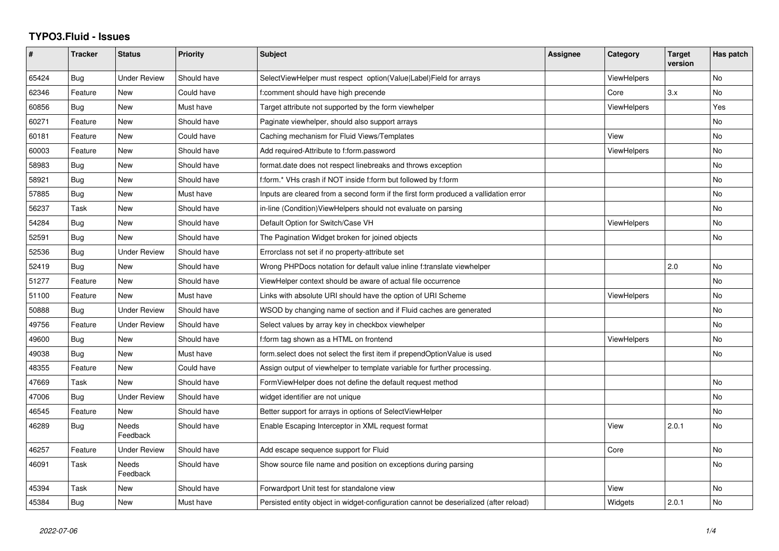## **TYPO3.Fluid - Issues**

| #     | <b>Tracker</b> | <b>Status</b>            | <b>Priority</b> | <b>Subject</b>                                                                        | <b>Assignee</b> | Category           | <b>Target</b><br>version | Has patch |
|-------|----------------|--------------------------|-----------------|---------------------------------------------------------------------------------------|-----------------|--------------------|--------------------------|-----------|
| 65424 | Bug            | <b>Under Review</b>      | Should have     | SelectViewHelper must respect option(Value Label)Field for arrays                     |                 | <b>ViewHelpers</b> |                          | <b>No</b> |
| 62346 | Feature        | New                      | Could have      | f:comment should have high precende                                                   |                 | Core               | 3.x                      | No        |
| 60856 | Bug            | <b>New</b>               | Must have       | Target attribute not supported by the form viewhelper                                 |                 | ViewHelpers        |                          | Yes       |
| 60271 | Feature        | New                      | Should have     | Paginate viewhelper, should also support arrays                                       |                 |                    |                          | No        |
| 60181 | Feature        | New                      | Could have      | Caching mechanism for Fluid Views/Templates                                           |                 | View               |                          | No        |
| 60003 | Feature        | New                      | Should have     | Add required-Attribute to f:form.password                                             |                 | <b>ViewHelpers</b> |                          | No        |
| 58983 | Bug            | New                      | Should have     | format.date does not respect linebreaks and throws exception                          |                 |                    |                          | No        |
| 58921 | Bug            | <b>New</b>               | Should have     | f:form.* VHs crash if NOT inside f:form but followed by f:form                        |                 |                    |                          | No        |
| 57885 | Bug            | New                      | Must have       | Inputs are cleared from a second form if the first form produced a vallidation error  |                 |                    |                          | No        |
| 56237 | Task           | <b>New</b>               | Should have     | in-line (Condition) View Helpers should not evaluate on parsing                       |                 |                    |                          | No.       |
| 54284 | Bug            | New                      | Should have     | Default Option for Switch/Case VH                                                     |                 | <b>ViewHelpers</b> |                          | No        |
| 52591 | Bug            | New                      | Should have     | The Pagination Widget broken for joined objects                                       |                 |                    |                          | No        |
| 52536 | Bug            | <b>Under Review</b>      | Should have     | Errorclass not set if no property-attribute set                                       |                 |                    |                          |           |
| 52419 | Bug            | New                      | Should have     | Wrong PHPDocs notation for default value inline f:translate viewhelper                |                 |                    | 2.0                      | No        |
| 51277 | Feature        | <b>New</b>               | Should have     | ViewHelper context should be aware of actual file occurrence                          |                 |                    |                          | <b>No</b> |
| 51100 | Feature        | <b>New</b>               | Must have       | Links with absolute URI should have the option of URI Scheme                          |                 | ViewHelpers        |                          | No        |
| 50888 | <b>Bug</b>     | <b>Under Review</b>      | Should have     | WSOD by changing name of section and if Fluid caches are generated                    |                 |                    |                          | No.       |
| 49756 | Feature        | <b>Under Review</b>      | Should have     | Select values by array key in checkbox viewhelper                                     |                 |                    |                          | No        |
| 49600 | Bug            | New                      | Should have     | f:form tag shown as a HTML on frontend                                                |                 | ViewHelpers        |                          | No        |
| 49038 | Bug            | New                      | Must have       | form.select does not select the first item if prependOptionValue is used              |                 |                    |                          | No        |
| 48355 | Feature        | New                      | Could have      | Assign output of viewhelper to template variable for further processing.              |                 |                    |                          |           |
| 47669 | Task           | <b>New</b>               | Should have     | FormViewHelper does not define the default request method                             |                 |                    |                          | No        |
| 47006 | Bug            | <b>Under Review</b>      | Should have     | widget identifier are not unique                                                      |                 |                    |                          | No.       |
| 46545 | Feature        | <b>New</b>               | Should have     | Better support for arrays in options of SelectViewHelper                              |                 |                    |                          | No        |
| 46289 | Bug            | Needs<br>Feedback        | Should have     | Enable Escaping Interceptor in XML request format                                     |                 | View               | 2.0.1                    | No        |
| 46257 | Feature        | <b>Under Review</b>      | Should have     | Add escape sequence support for Fluid                                                 |                 | Core               |                          | No        |
| 46091 | Task           | <b>Needs</b><br>Feedback | Should have     | Show source file name and position on exceptions during parsing                       |                 |                    |                          | No.       |
| 45394 | Task           | New                      | Should have     | Forwardport Unit test for standalone view                                             |                 | View               |                          | No        |
| 45384 | Bug            | <b>New</b>               | Must have       | Persisted entity object in widget-configuration cannot be deserialized (after reload) |                 | Widgets            | 2.0.1                    | No        |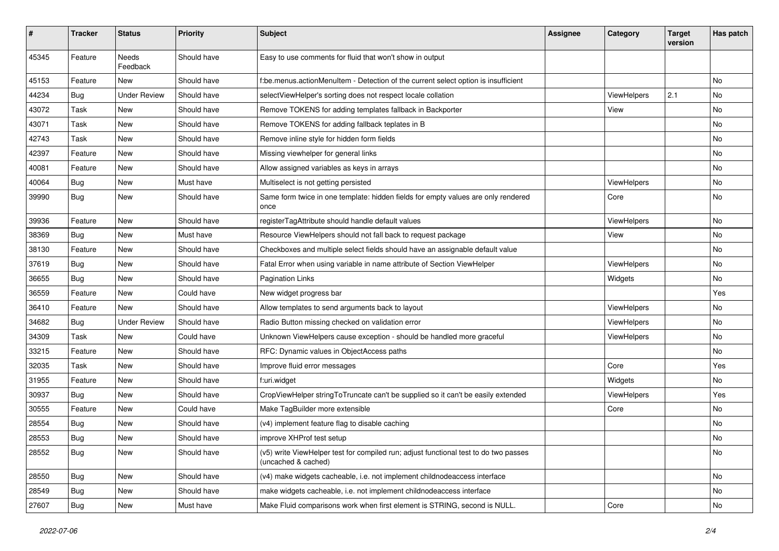| #     | <b>Tracker</b> | <b>Status</b>            | <b>Priority</b> | Subject                                                                                                     | <b>Assignee</b> | Category    | <b>Target</b><br>version | Has patch |
|-------|----------------|--------------------------|-----------------|-------------------------------------------------------------------------------------------------------------|-----------------|-------------|--------------------------|-----------|
| 45345 | Feature        | <b>Needs</b><br>Feedback | Should have     | Easy to use comments for fluid that won't show in output                                                    |                 |             |                          |           |
| 45153 | Feature        | New                      | Should have     | f:be.menus.actionMenuItem - Detection of the current select option is insufficient                          |                 |             |                          | No        |
| 44234 | Bug            | <b>Under Review</b>      | Should have     | selectViewHelper's sorting does not respect locale collation                                                |                 | ViewHelpers | 2.1                      | No        |
| 43072 | Task           | New                      | Should have     | Remove TOKENS for adding templates fallback in Backporter                                                   |                 | View        |                          | No        |
| 43071 | Task           | New                      | Should have     | Remove TOKENS for adding fallback teplates in B                                                             |                 |             |                          | <b>No</b> |
| 42743 | Task           | New                      | Should have     | Remove inline style for hidden form fields                                                                  |                 |             |                          | No        |
| 42397 | Feature        | New                      | Should have     | Missing viewhelper for general links                                                                        |                 |             |                          | No        |
| 40081 | Feature        | New                      | Should have     | Allow assigned variables as keys in arrays                                                                  |                 |             |                          | No        |
| 40064 | <b>Bug</b>     | New                      | Must have       | Multiselect is not getting persisted                                                                        |                 | ViewHelpers |                          | No        |
| 39990 | Bug            | New                      | Should have     | Same form twice in one template: hidden fields for empty values are only rendered<br>once                   |                 | Core        |                          | No        |
| 39936 | Feature        | New                      | Should have     | registerTagAttribute should handle default values                                                           |                 | ViewHelpers |                          | <b>No</b> |
| 38369 | Bug            | <b>New</b>               | Must have       | Resource ViewHelpers should not fall back to request package                                                |                 | View        |                          | <b>No</b> |
| 38130 | Feature        | New                      | Should have     | Checkboxes and multiple select fields should have an assignable default value                               |                 |             |                          | No        |
| 37619 | Bug            | New                      | Should have     | Fatal Error when using variable in name attribute of Section ViewHelper                                     |                 | ViewHelpers |                          | No        |
| 36655 | Bug            | New                      | Should have     | <b>Pagination Links</b>                                                                                     |                 | Widgets     |                          | <b>No</b> |
| 36559 | Feature        | New                      | Could have      | New widget progress bar                                                                                     |                 |             |                          | Yes       |
| 36410 | Feature        | New                      | Should have     | Allow templates to send arguments back to layout                                                            |                 | ViewHelpers |                          | <b>No</b> |
| 34682 | Bug            | <b>Under Review</b>      | Should have     | Radio Button missing checked on validation error                                                            |                 | ViewHelpers |                          | No        |
| 34309 | Task           | New                      | Could have      | Unknown ViewHelpers cause exception - should be handled more graceful                                       |                 | ViewHelpers |                          | No        |
| 33215 | Feature        | New                      | Should have     | RFC: Dynamic values in ObjectAccess paths                                                                   |                 |             |                          | No        |
| 32035 | Task           | New                      | Should have     | Improve fluid error messages                                                                                |                 | Core        |                          | Yes       |
| 31955 | Feature        | New                      | Should have     | f:uri.widget                                                                                                |                 | Widgets     |                          | No        |
| 30937 | Bug            | New                      | Should have     | CropViewHelper stringToTruncate can't be supplied so it can't be easily extended                            |                 | ViewHelpers |                          | Yes       |
| 30555 | Feature        | New                      | Could have      | Make TagBuilder more extensible                                                                             |                 | Core        |                          | No        |
| 28554 | Bug            | New                      | Should have     | (v4) implement feature flag to disable caching                                                              |                 |             |                          | No        |
| 28553 | Bug            | New                      | Should have     | improve XHProf test setup                                                                                   |                 |             |                          | No        |
| 28552 | <b>Bug</b>     | New                      | Should have     | (v5) write ViewHelper test for compiled run; adjust functional test to do two passes<br>(uncached & cached) |                 |             |                          | No        |
| 28550 | Bug            | New                      | Should have     | (v4) make widgets cacheable, i.e. not implement childnodeaccess interface                                   |                 |             |                          | No        |
| 28549 | Bug            | New                      | Should have     | make widgets cacheable, i.e. not implement childnodeaccess interface                                        |                 |             |                          | No        |
| 27607 | <b>Bug</b>     | New                      | Must have       | Make Fluid comparisons work when first element is STRING, second is NULL.                                   |                 | Core        |                          | No        |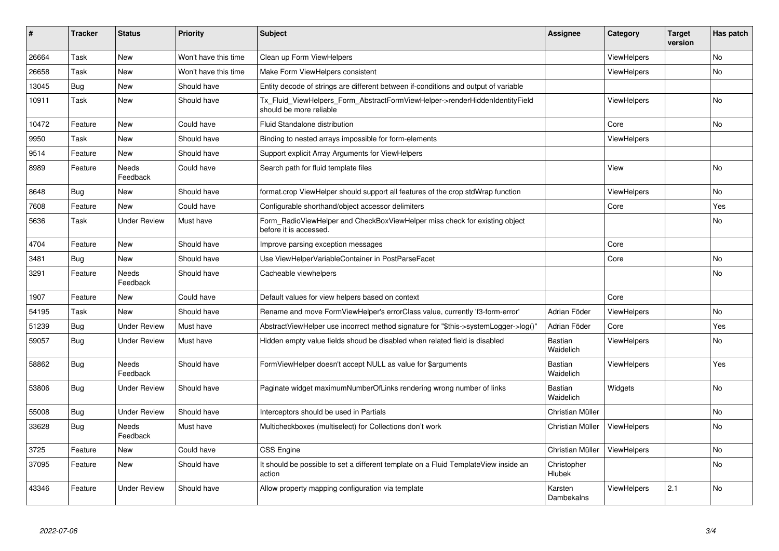| #     | <b>Tracker</b> | <b>Status</b>            | <b>Priority</b>      | <b>Subject</b>                                                                                         | <b>Assignee</b>             | Category           | Target<br>version | Has patch |
|-------|----------------|--------------------------|----------------------|--------------------------------------------------------------------------------------------------------|-----------------------------|--------------------|-------------------|-----------|
| 26664 | Task           | New                      | Won't have this time | Clean up Form ViewHelpers                                                                              |                             | ViewHelpers        |                   | <b>No</b> |
| 26658 | Task           | New                      | Won't have this time | Make Form ViewHelpers consistent                                                                       |                             | ViewHelpers        |                   | No        |
| 13045 | Bug            | New                      | Should have          | Entity decode of strings are different between if-conditions and output of variable                    |                             |                    |                   |           |
| 10911 | Task           | New                      | Should have          | Tx Fluid ViewHelpers Form AbstractFormViewHelper->renderHiddenIdentityField<br>should be more reliable |                             | ViewHelpers        |                   | No        |
| 10472 | Feature        | New                      | Could have           | Fluid Standalone distribution                                                                          |                             | Core               |                   | No        |
| 9950  | Task           | New                      | Should have          | Binding to nested arrays impossible for form-elements                                                  |                             | <b>ViewHelpers</b> |                   |           |
| 9514  | Feature        | New                      | Should have          | Support explicit Array Arguments for ViewHelpers                                                       |                             |                    |                   |           |
| 8989  | Feature        | Needs<br>Feedback        | Could have           | Search path for fluid template files                                                                   |                             | View               |                   | <b>No</b> |
| 8648  | Bug            | New                      | Should have          | format.crop ViewHelper should support all features of the crop stdWrap function                        |                             | <b>ViewHelpers</b> |                   | No        |
| 7608  | Feature        | New                      | Could have           | Configurable shorthand/object accessor delimiters                                                      |                             | Core               |                   | Yes       |
| 5636  | Task           | <b>Under Review</b>      | Must have            | Form RadioViewHelper and CheckBoxViewHelper miss check for existing object<br>before it is accessed.   |                             |                    |                   | No        |
| 4704  | Feature        | New                      | Should have          | Improve parsing exception messages                                                                     |                             | Core               |                   |           |
| 3481  | Bug            | New                      | Should have          | Use ViewHelperVariableContainer in PostParseFacet                                                      |                             | Core               |                   | No        |
| 3291  | Feature        | <b>Needs</b><br>Feedback | Should have          | Cacheable viewhelpers                                                                                  |                             |                    |                   | No        |
| 1907  | Feature        | New                      | Could have           | Default values for view helpers based on context                                                       |                             | Core               |                   |           |
| 54195 | Task           | New                      | Should have          | Rename and move FormViewHelper's errorClass value, currently 'f3-form-error'                           | Adrian Föder                | ViewHelpers        |                   | No        |
| 51239 | <b>Bug</b>     | <b>Under Review</b>      | Must have            | AbstractViewHelper use incorrect method signature for "\$this->systemLogger->log()"                    | Adrian Föder                | Core               |                   | Yes       |
| 59057 | <b>Bug</b>     | Under Review             | Must have            | Hidden empty value fields shoud be disabled when related field is disabled                             | <b>Bastian</b><br>Waidelich | <b>ViewHelpers</b> |                   | No        |
| 58862 | Bug            | Needs<br>Feedback        | Should have          | FormViewHelper doesn't accept NULL as value for \$arguments                                            | Bastian<br>Waidelich        | <b>ViewHelpers</b> |                   | Yes       |
| 53806 | <b>Bug</b>     | Under Review             | Should have          | Paginate widget maximumNumberOfLinks rendering wrong number of links                                   | Bastian<br>Waidelich        | Widgets            |                   | <b>No</b> |
| 55008 | <b>Bug</b>     | <b>Under Review</b>      | Should have          | Interceptors should be used in Partials                                                                | Christian Müller            |                    |                   | <b>No</b> |
| 33628 | Bug            | Needs<br>Feedback        | Must have            | Multicheckboxes (multiselect) for Collections don't work                                               | Christian Müller            | ViewHelpers        |                   | <b>No</b> |
| 3725  | Feature        | New                      | Could have           | <b>CSS Engine</b>                                                                                      | Christian Müller            | ViewHelpers        |                   | <b>No</b> |
| 37095 | Feature        | New                      | Should have          | It should be possible to set a different template on a Fluid TemplateView inside an<br>action          | Christopher<br>Hlubek       |                    |                   | <b>No</b> |
| 43346 | Feature        | <b>Under Review</b>      | Should have          | Allow property mapping configuration via template                                                      | Karsten<br>Dambekalns       | <b>ViewHelpers</b> | 2.1               | <b>No</b> |